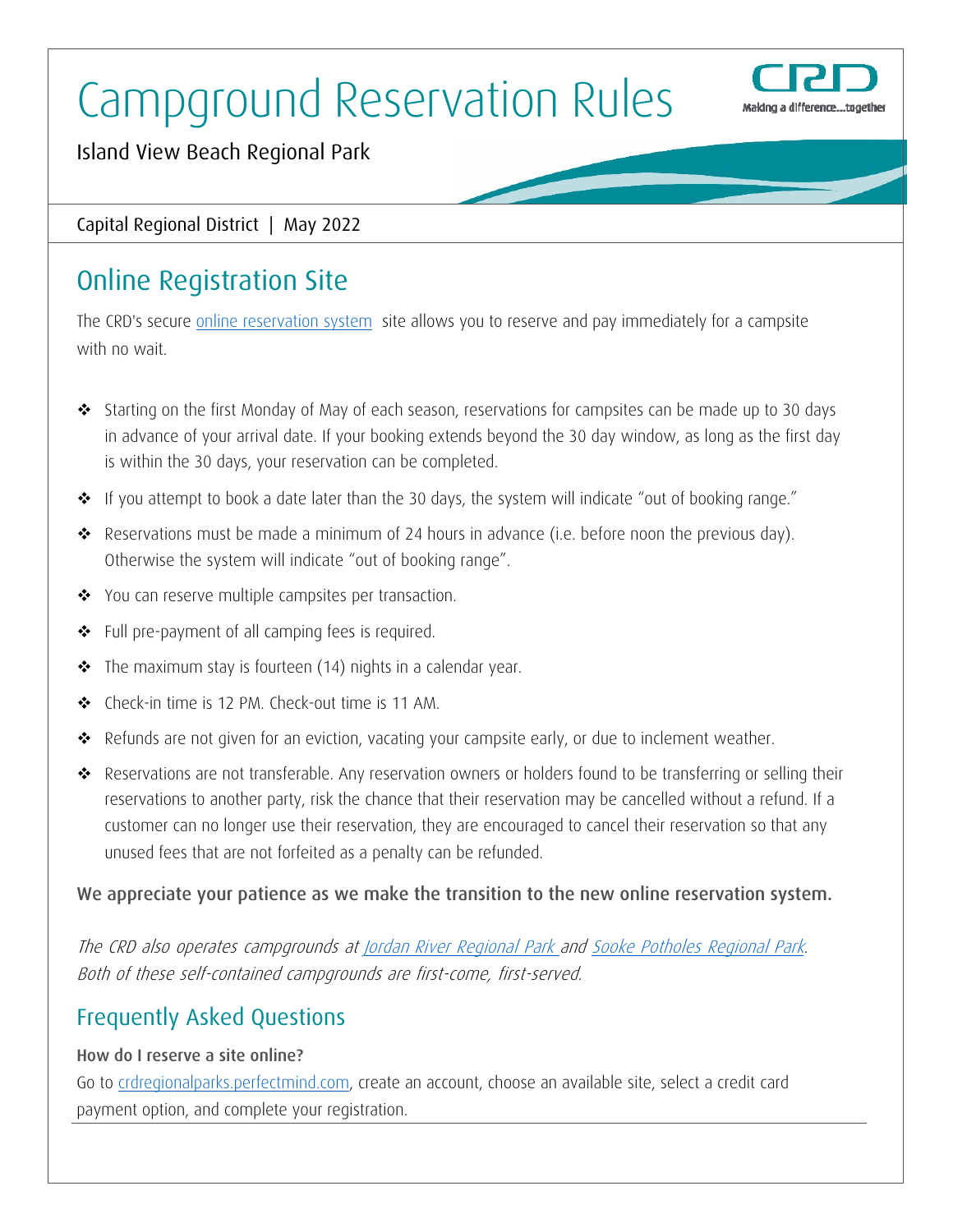# Campground Reservation Rules



Island View Beach Regional Park

Capital Regional District | May 2022

## Online Registration Site

The CRD's secure online reservation system site allows you to reserve and pay immediately for a campsite with no wait.

- Starting on the first Monday of May of each season, reservations for campsites can be made up to 30 days in advance of your arrival date. If your booking extends beyond the 30 day window, as long as the first day is within the 30 days, your reservation can be completed.
- \* If you attempt to book a date later than the 30 days, the system will indicate "out of booking range."
- \* Reservations must be made a minimum of 24 hours in advance (i.e. before noon the previous day). Otherwise the system will indicate "out of booking range".
- ◆ You can reserve multiple campsites per transaction.
- Full pre-payment of all camping fees is required.
- **\*** The maximum stay is fourteen (14) nights in a calendar year.
- Check-in time is 12 PM. Check-out time is 11 AM.
- \* Refunds are not given for an eviction, vacating your campsite early, or due to inclement weather.
- Reservations are not transferable. Any reservation owners or holders found to be transferring or selling their reservations to another party, risk the chance that their reservation may be cancelled without a refund. If a customer can no longer use their reservation, they are encouraged to cancel their reservation so that any unused fees that are not forfeited as a penalty can be refunded.

#### We appreciate your patience as we make the transition to the new online reservation system.

The CRD also operates campgrounds at *Jordan River Regional Park and Sooke Potholes Regional Park.* Both of these self-contained campgrounds are first-come, first-served.

### Frequently Asked Questions

#### How do I reserve a site online?

Go to crdregionalparks.perfectmind.com, create an account, choose an available site, select a credit card payment option, and complete your registration.